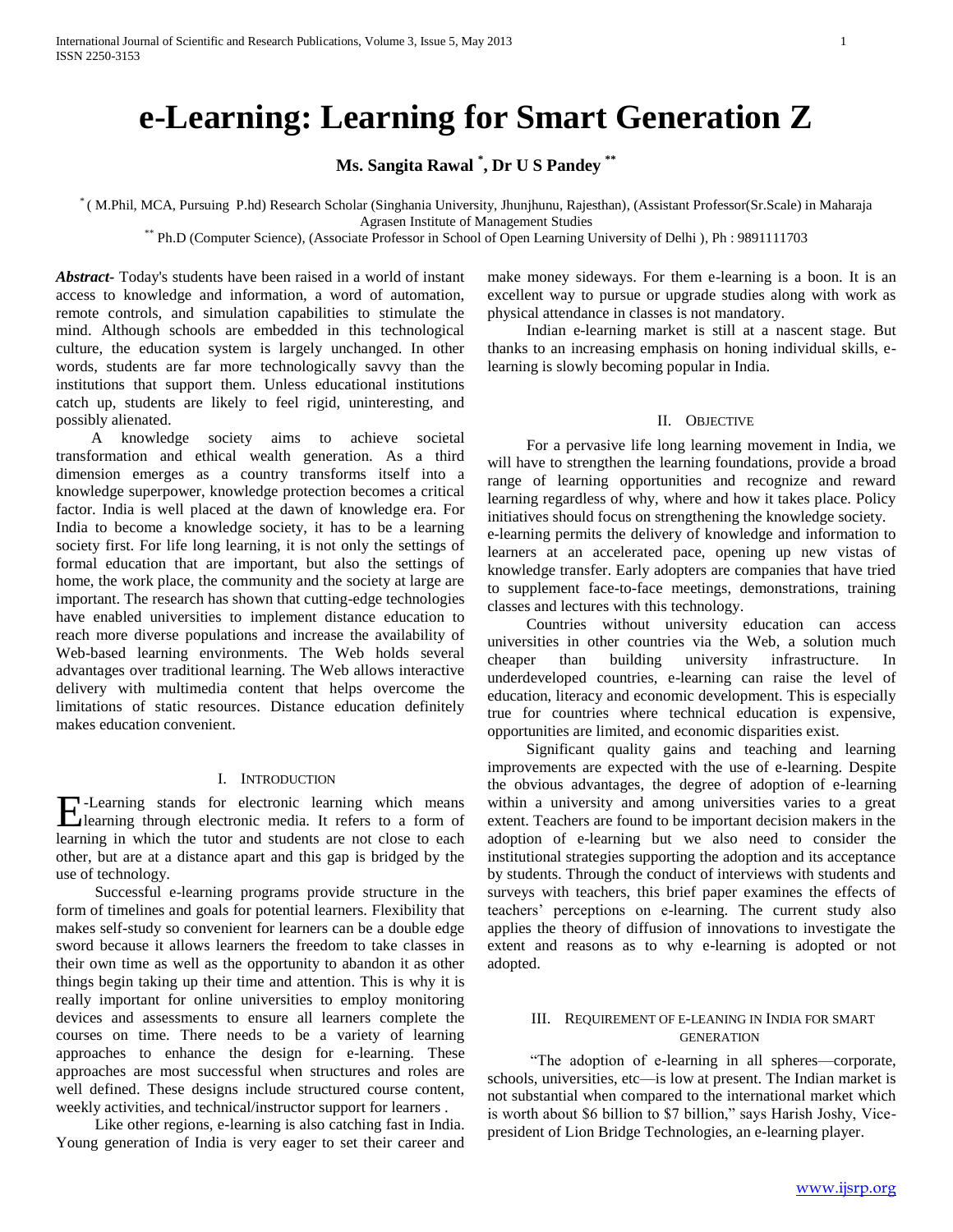# **e-Learning: Learning for Smart Generation Z**

**Ms. Sangita Rawal \* , Dr U S Pandey \*\***

\* ( M.Phil, MCA, Pursuing P.hd) Research Scholar (Singhania University, Jhunjhunu, Rajesthan), (Assistant Professor(Sr.Scale) in Maharaja Agrasen Institute of Management Studies

\*\* Ph.D (Computer Science), (Associate Professor in School of Open Learning University of Delhi ), Ph : 9891111703

*Abstract***-** Today's students have been raised in a world of instant access to knowledge and information, a word of automation, remote controls, and simulation capabilities to stimulate the mind. Although schools are embedded in this technological culture, the education system is largely unchanged. In other words, students are far more technologically savvy than the institutions that support them. Unless educational institutions catch up, students are likely to feel rigid, uninteresting, and possibly alienated.

 A knowledge society aims to achieve societal transformation and ethical wealth generation. As a third dimension emerges as a country transforms itself into a knowledge superpower, knowledge protection becomes a critical factor. India is well placed at the dawn of knowledge era. For India to become a knowledge society, it has to be a learning society first. For life long learning, it is not only the settings of formal education that are important, but also the settings of home, the work place, the community and the society at large are important. The research has shown that cutting-edge technologies have enabled universities to implement distance education to reach more diverse populations and increase the availability of Web-based learning environments. The Web holds several advantages over traditional learning. The Web allows interactive delivery with multimedia content that helps overcome the limitations of static resources. Distance education definitely makes education convenient.

## I. INTRODUCTION

**E**-Learning stands for electronic learning which means<br>learning through electronic media. It refers to a form of learning through electronic media. It refers to a form of learning in which the tutor and students are not close to each other, but are at a distance apart and this gap is bridged by the use of technology.

 Successful e-learning programs provide structure in the form of timelines and goals for potential learners. Flexibility that makes self-study so convenient for learners can be a double edge sword because it allows learners the freedom to take classes in their own time as well as the opportunity to abandon it as other things begin taking up their time and attention. This is why it is really important for online universities to employ monitoring devices and assessments to ensure all learners complete the courses on time. There needs to be a variety of learning approaches to enhance the design for e-learning. These approaches are most successful when structures and roles are well defined. These designs include structured course content, weekly activities, and technical/instructor support for learners .

 Like other regions, e-learning is also catching fast in India. Young generation of India is very eager to set their career and make money sideways. For them e-learning is a boon. It is an excellent way to pursue or upgrade studies along with work as physical attendance in classes is not mandatory.

 Indian e-learning market is still at a nascent stage. But thanks to an increasing emphasis on honing individual skills, elearning is slowly becoming popular in India.

## II. OBJECTIVE

 For a pervasive life long learning movement in India, we will have to strengthen the learning foundations, provide a broad range of learning opportunities and recognize and reward learning regardless of why, where and how it takes place. Policy initiatives should focus on strengthening the knowledge society. e-learning permits the delivery of knowledge and information to learners at an accelerated pace, opening up new vistas of knowledge transfer. Early adopters are companies that have tried to supplement face-to-face meetings, demonstrations, training classes and lectures with this technology.

 Countries without university education can access universities in other countries via the Web, a solution much cheaper than building university infrastructure. In underdeveloped countries, e-learning can raise the level of education, literacy and economic development. This is especially true for countries where technical education is expensive, opportunities are limited, and economic disparities exist.

 Significant quality gains and teaching and learning improvements are expected with the use of e-learning. Despite the obvious advantages, the degree of adoption of e-learning within a university and among universities varies to a great extent. Teachers are found to be important decision makers in the adoption of e-learning but we also need to consider the institutional strategies supporting the adoption and its acceptance by students. Through the conduct of interviews with students and surveys with teachers, this brief paper examines the effects of teachers' perceptions on e-learning. The current study also applies the theory of diffusion of innovations to investigate the extent and reasons as to why e-learning is adopted or not adopted.

## III. REQUIREMENT OF E-LEANING IN INDIA FOR SMART GENERATION

 ―The adoption of e-learning in all spheres—corporate, schools, universities, etc—is low at present. The Indian market is not substantial when compared to the international market which is worth about \$6 billion to \$7 billion," says Harish Joshy, Vicepresident of Lion Bridge Technologies, an e-learning player.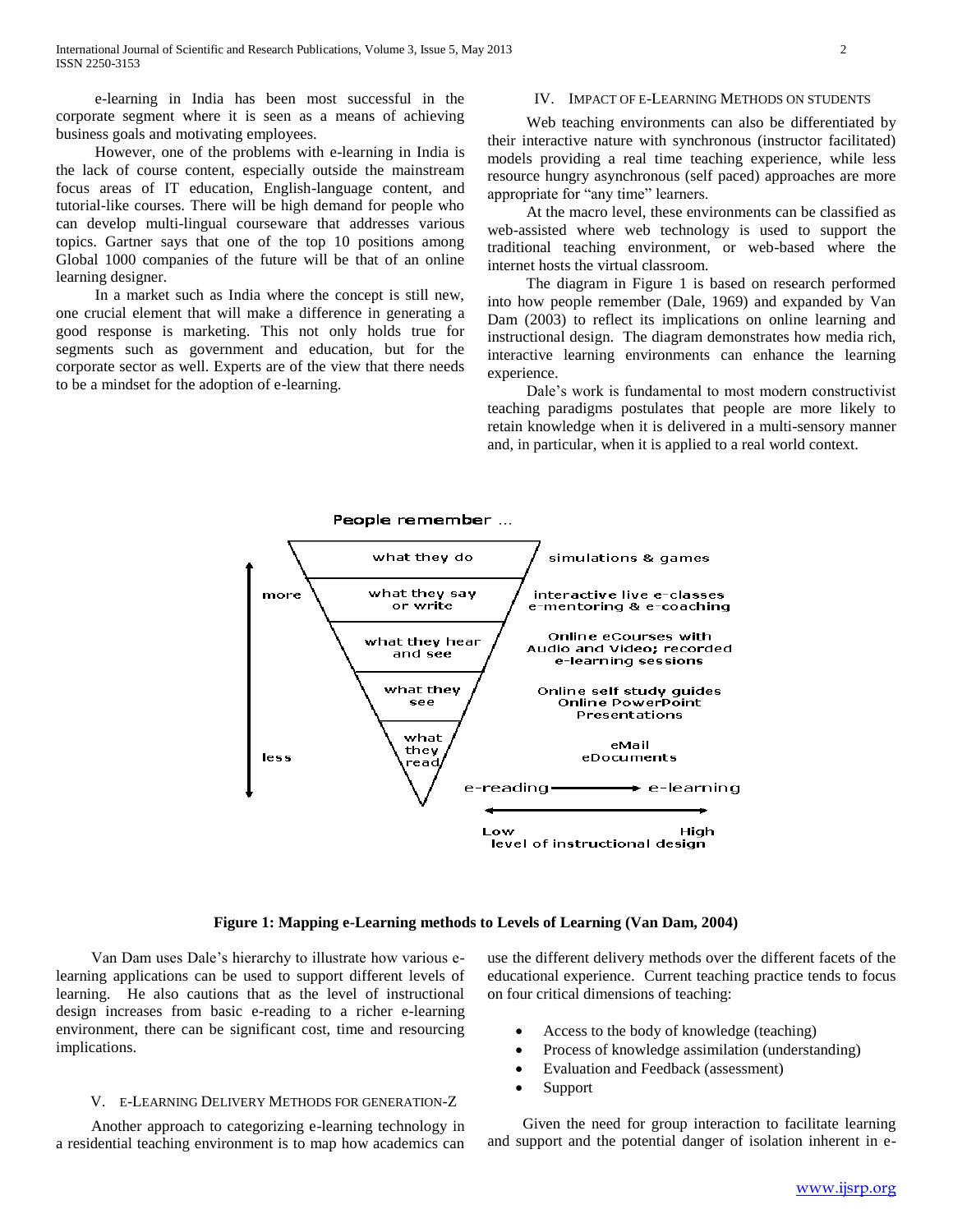e-learning in India has been most successful in the corporate segment where it is seen as a means of achieving business goals and motivating employees.

 However, one of the problems with e-learning in India is the lack of course content, especially outside the mainstream focus areas of IT education, English-language content, and tutorial-like courses. There will be high demand for people who can develop multi-lingual courseware that addresses various topics. Gartner says that one of the top 10 positions among Global 1000 companies of the future will be that of an online learning designer.

 In a market such as India where the concept is still new, one crucial element that will make a difference in generating a good response is marketing. This not only holds true for segments such as government and education, but for the corporate sector as well. Experts are of the view that there needs to be a mindset for the adoption of e-learning.

## IV. IMPACT OF E-LEARNING METHODS ON STUDENTS

 Web teaching environments can also be differentiated by their interactive nature with synchronous (instructor facilitated) models providing a real time teaching experience, while less resource hungry asynchronous (self paced) approaches are more appropriate for "any time" learners.

 At the macro level, these environments can be classified as web-assisted where web technology is used to support the traditional teaching environment, or web-based where the internet hosts the virtual classroom.

 The diagram in Figure 1 is based on research performed into how people remember (Dale, 1969) and expanded by Van Dam (2003) to reflect its implications on online learning and instructional design. The diagram demonstrates how media rich, interactive learning environments can enhance the learning experience.

 Dale's work is fundamental to most modern constructivist teaching paradigms postulates that people are more likely to retain knowledge when it is delivered in a multi-sensory manner and, in particular, when it is applied to a real world context.



#### **Figure 1: Mapping e-Learning methods to Levels of Learning (Van Dam, 2004)**

 Van Dam uses Dale's hierarchy to illustrate how various elearning applications can be used to support different levels of learning. He also cautions that as the level of instructional design increases from basic e-reading to a richer e-learning environment, there can be significant cost, time and resourcing implications.

### V. E-LEARNING DELIVERY METHODS FOR GENERATION-Z

 Another approach to categorizing e-learning technology in a residential teaching environment is to map how academics can use the different delivery methods over the different facets of the educational experience. Current teaching practice tends to focus on four critical dimensions of teaching:

- Access to the body of knowledge (teaching)
- Process of knowledge assimilation (understanding)
- Evaluation and Feedback (assessment)
- Support

 Given the need for group interaction to facilitate learning and support and the potential danger of isolation inherent in e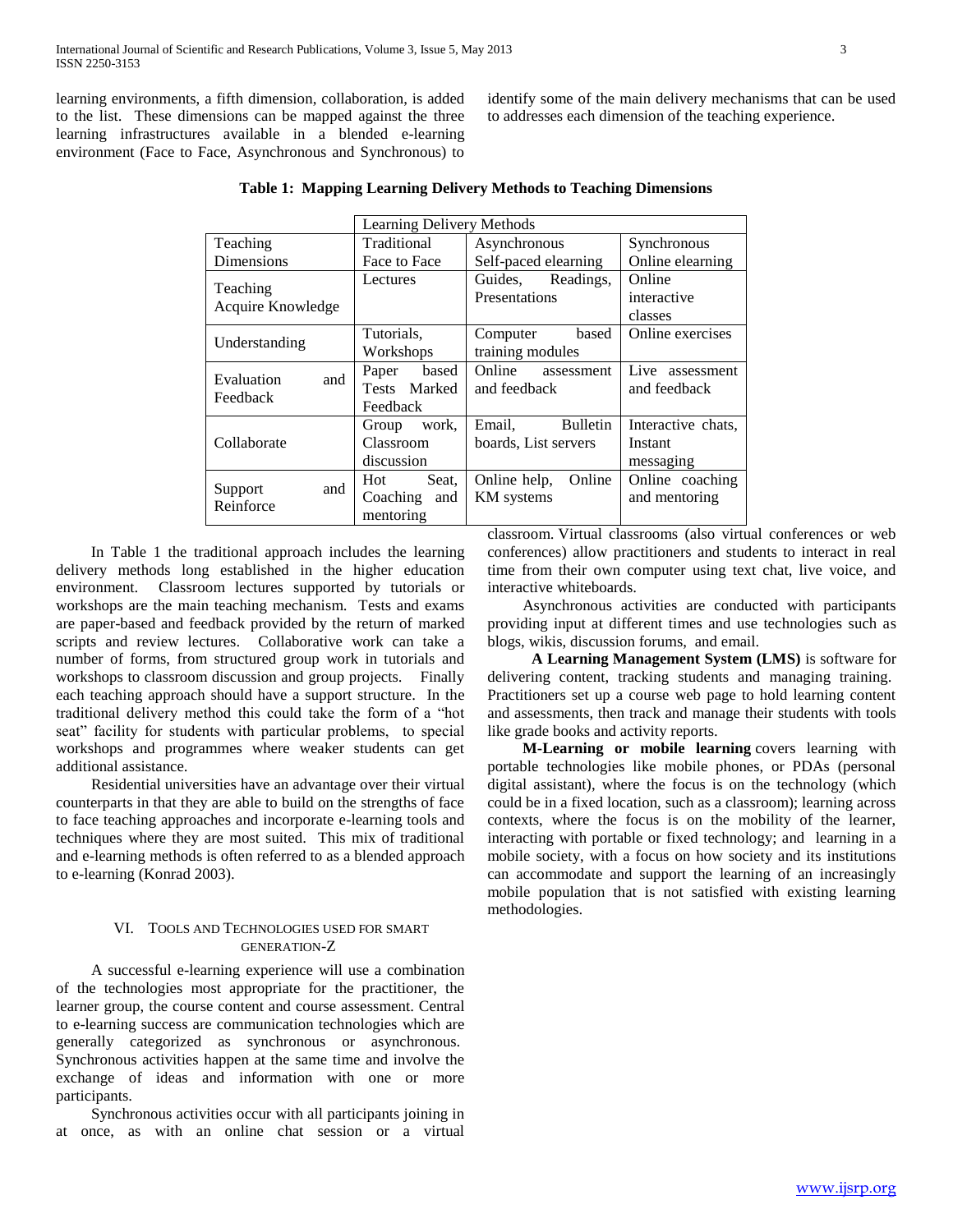learning environments, a fifth dimension, collaboration, is added to the list. These dimensions can be mapped against the three learning infrastructures available in a blended e-learning environment (Face to Face, Asynchronous and Synchronous) to

identify some of the main delivery mechanisms that can be used to addresses each dimension of the teaching experience.

|                               |     | Learning Delivery Methods |       |                      |                 |                    |  |
|-------------------------------|-----|---------------------------|-------|----------------------|-----------------|--------------------|--|
| Teaching                      |     | Traditional               |       | Asynchronous         |                 | Synchronous        |  |
| Dimensions                    |     | Face to Face              |       | Self-paced elearning |                 | Online elearning   |  |
| Teaching<br>Acquire Knowledge |     | Lectures                  |       | Guides,              | Readings,       | Online             |  |
|                               |     |                           |       | Presentations        |                 | interactive        |  |
|                               |     |                           |       |                      |                 | classes            |  |
| Understanding                 |     | Tutorials,                |       | Computer             | based           | Online exercises   |  |
|                               |     | Workshops                 |       | training modules     |                 |                    |  |
| Evaluation                    |     | Paper                     | based | Online               | assessment      | Live assessment    |  |
| Feedback                      | and | Tests Marked              |       | and feedback         |                 | and feedback       |  |
|                               |     | Feedback                  |       |                      |                 |                    |  |
|                               |     | Group                     | work, | Email,               | <b>Bulletin</b> | Interactive chats, |  |
| Collaborate                   |     | Classroom                 |       | boards, List servers |                 | Instant            |  |
|                               |     | discussion                |       |                      |                 | messaging          |  |
|                               | and | Hot                       | Seat. | Online help,         | Online          | Online coaching    |  |
| Support<br>Reinforce          |     | Coaching                  | and   | <b>KM</b> systems    |                 | and mentoring      |  |
|                               |     | mentoring                 |       |                      |                 |                    |  |

|  |  |  | Table 1: Mapping Learning Delivery Methods to Teaching Dimensions |  |  |  |
|--|--|--|-------------------------------------------------------------------|--|--|--|
|--|--|--|-------------------------------------------------------------------|--|--|--|

 In Table 1 the traditional approach includes the learning delivery methods long established in the higher education environment. Classroom lectures supported by tutorials or workshops are the main teaching mechanism. Tests and exams are paper-based and feedback provided by the return of marked scripts and review lectures. Collaborative work can take a number of forms, from structured group work in tutorials and workshops to classroom discussion and group projects. Finally each teaching approach should have a support structure. In the traditional delivery method this could take the form of a "hot seat" facility for students with particular problems, to special workshops and programmes where weaker students can get additional assistance.

 Residential universities have an advantage over their virtual counterparts in that they are able to build on the strengths of face to face teaching approaches and incorporate e-learning tools and techniques where they are most suited. This mix of traditional and e-learning methods is often referred to as a blended approach to e-learning (Konrad 2003).

### VI. TOOLS AND TECHNOLOGIES USED FOR SMART GENERATION-Z

 A successful e-learning experience will use a combination of the technologies most appropriate for the practitioner, the learner group, the course content and course assessment. Central to e-learning success are communication technologies which are generally categorized as synchronous or asynchronous. Synchronous activities happen at the same time and involve the exchange of ideas and information with one or more participants.

 Synchronous activities occur with all participants joining in at once, as with an online chat session or a virtual classroom. Virtual classrooms (also virtual conferences or web conferences) allow practitioners and students to interact in real time from their own computer using text chat, live voice, and interactive whiteboards.

 Asynchronous activities are conducted with participants providing input at different times and use technologies such as blogs, wikis, discussion forums, and email.

 **A Learning Management System (LMS)** is software for delivering content, tracking students and managing training. Practitioners set up a course web page to hold learning content and assessments, then track and manage their students with tools like grade books and activity reports.

 **M-Learning or mobile learning** covers learning with portable technologies like mobile phones, or PDAs (personal digital assistant), where the focus is on the technology (which could be in a fixed location, such as a classroom); learning across contexts, where the focus is on the mobility of the learner, interacting with portable or fixed technology; and learning in a mobile society, with a focus on how society and its institutions can accommodate and support the learning of an increasingly mobile population that is not satisfied with existing learning methodologies.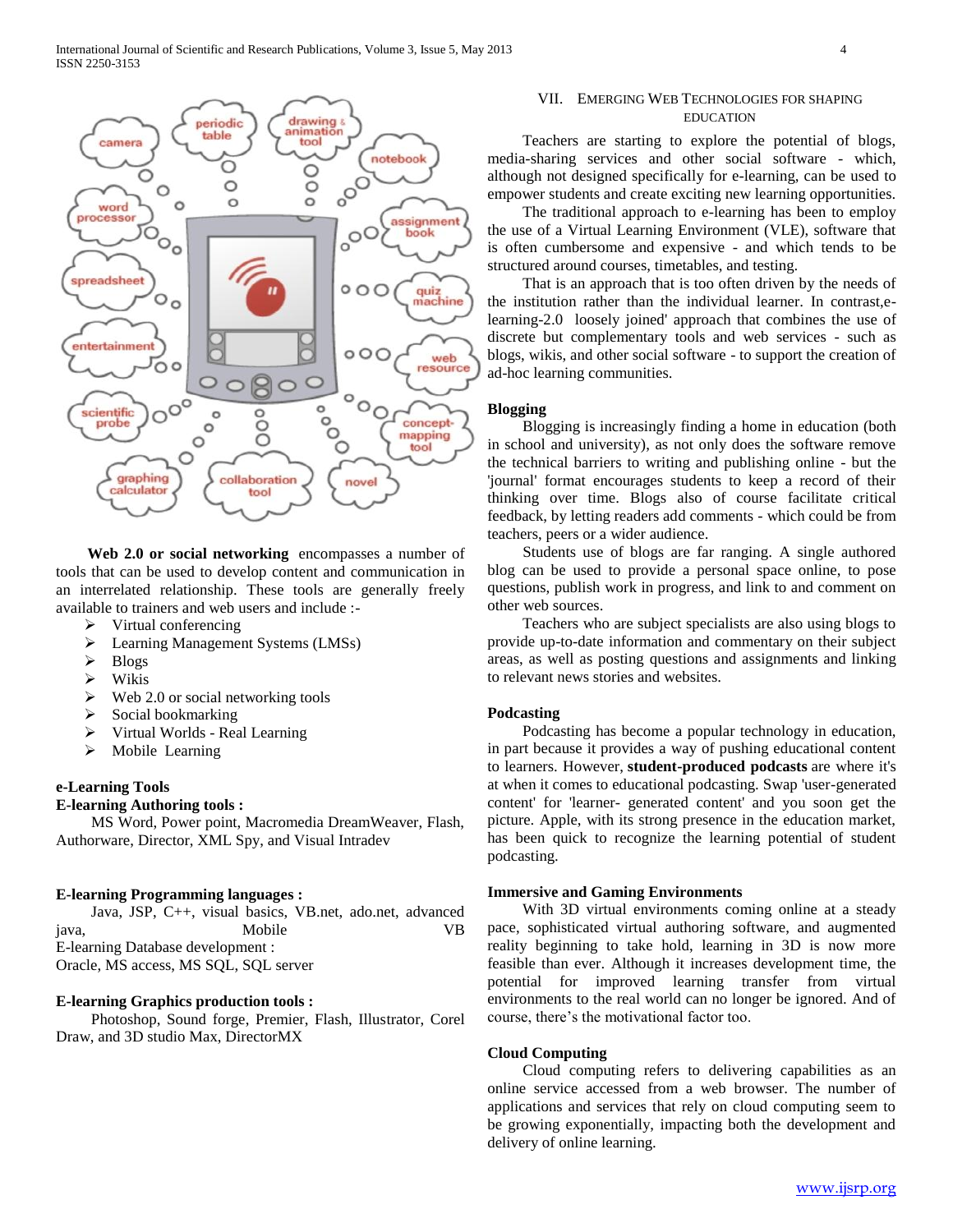

 **Web 2.0 or social networking** encompasses a number of tools that can be used to develop content and communication in an interrelated relationship. These tools are generally freely available to trainers and web users and include :-

- $\triangleright$  Virtual conferencing
- **Examing Management Systems (LMSs)**
- $\triangleright$  Blogs
- Wikis
- $\triangleright$  Web 2.0 or social networking tools
- $\triangleright$  Social bookmarking
- $\triangleright$  Virtual Worlds Real Learning
- $\triangleright$  Mobile Learning

#### **e-Learning Tools**

## **E-learning Authoring tools :**

 MS Word, Power point, Macromedia DreamWeaver, Flash, Authorware, Director, XML Spy, and Visual Intradev

#### **E-learning Programming languages :**

|                                   | Java, JSP, C++, visual basics, VB.net, ado.net, advanced |  |  |     |  |  |  |
|-----------------------------------|----------------------------------------------------------|--|--|-----|--|--|--|
| java,                             | Mobile                                                   |  |  | VR. |  |  |  |
| E-learning Database development : |                                                          |  |  |     |  |  |  |
|                                   | Oracle, MS access, MS SQL, SQL server                    |  |  |     |  |  |  |

## **E-learning Graphics production tools :**

 Photoshop, Sound forge, Premier, Flash, Illustrator, Corel Draw, and 3D studio Max, DirectorMX

## VII. EMERGING WEB TECHNOLOGIES FOR SHAPING EDUCATION

 Teachers are starting to explore the potential of blogs, media-sharing services and other social software - which, although not designed specifically for e-learning, can be used to empower students and create exciting new learning opportunities.

 The traditional approach to e-learning has been to employ the use of a Virtual Learning Environment (VLE), software that is often cumbersome and expensive - and which tends to be structured around courses, timetables, and testing.

 That is an approach that is too often driven by the needs of the institution rather than the individual learner. In contrast,elearning-2.0 loosely joined' approach that combines the use of discrete but complementary tools and web services - such as blogs, wikis, and other social software - to support the creation of ad-hoc learning communities.

## **Blogging**

 Blogging is increasingly finding a home in education (both in school and university), as not only does the software remove the technical barriers to writing and publishing online - but the 'journal' format encourages students to keep a record of their thinking over time. Blogs also of course facilitate critical feedback, by letting readers add comments - which could be from teachers, peers or a wider audience.

 Students use of blogs are far ranging. A single authored blog can be used to provide a personal space online, to pose questions, publish work in progress, and link to and comment on other web sources.

 Teachers who are subject specialists are also using blogs to provide up-to-date information and commentary on their subject areas, as well as posting questions and assignments and linking to relevant news stories and websites.

#### **Podcasting**

 Podcasting has become a popular technology in education, in part because it provides a way of pushing educational content to learners. However, **student-produced podcasts** are where it's at when it comes to educational podcasting. Swap 'user-generated content' for 'learner- generated content' and you soon get the picture. Apple, with its strong presence in the education market, has been quick to recognize the learning potential of student podcasting.

#### **Immersive and Gaming Environments**

 With 3D virtual environments coming online at a steady pace, sophisticated virtual authoring software, and augmented reality beginning to take hold, learning in 3D is now more feasible than ever. Although it increases development time, the potential for improved learning transfer from virtual environments to the real world can no longer be ignored. And of course, there's the motivational factor too.

#### **Cloud Computing**

 Cloud computing refers to delivering capabilities as an online service accessed from a web browser. The number of applications and services that rely on cloud computing seem to be growing exponentially, impacting both the development and delivery of online learning.